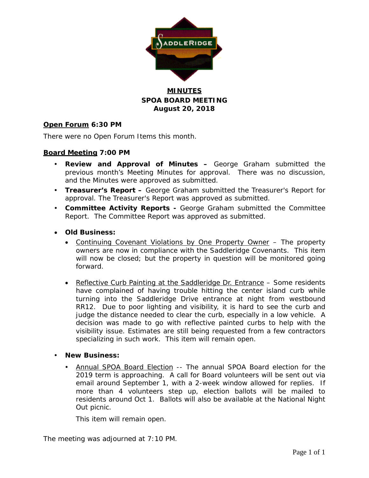

### **MINUTES SPOA BOARD MEETING August 20, 2018**

#### **Open Forum 6:30 PM**

There were no Open Forum Items this month.

#### **Board Meeting 7:00 PM**

- **Review and Approval of Minutes –** George Graham submitted the previous month's Meeting Minutes for approval. There was no discussion, and the Minutes were approved as submitted.
- **Treasurer's Report –** George Graham submitted the Treasurer's Report for approval. The Treasurer's Report was approved as submitted.
- **Committee Activity Reports -** George Graham submitted the Committee Report. The Committee Report was approved as submitted.
- **Old Business:**
	- Continuing Covenant Violations by One Property Owner The property owners are now in compliance with the Saddleridge Covenants. This item will now be closed; but the property in question will be monitored going forward.
	- Reflective Curb Painting at the Saddleridge Dr. Entrance Some residents have complained of having trouble hitting the center island curb while turning into the Saddleridge Drive entrance at night from westbound RR12. Due to poor lighting and visibility, it is hard to see the curb and judge the distance needed to clear the curb, especially in a low vehicle. A decision was made to go with reflective painted curbs to help with the visibility issue. Estimates are still being requested from a few contractors specializing in such work. This item will remain open.
- **New Business:**
	- Annual SPOA Board Election -- The annual SPOA Board election for the 2019 term is approaching. A call for Board volunteers will be sent out via email around September 1, with a 2-week window allowed for replies. If more than 4 volunteers step up, election ballots will be mailed to residents around Oct 1. Ballots will also be available at the National Night Out picnic.

This item will remain open.

The meeting was adjourned at 7:10 PM.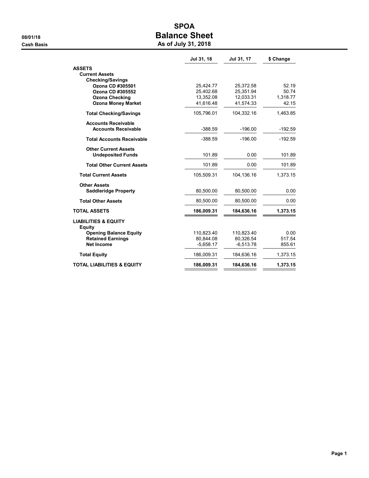# SPOA 08/01/18 OB/01/18

|  |  | As of July 31, 2018 |
|--|--|---------------------|
|  |  |                     |

|                                               | Jul 31, 18              | Jul 31, 17              | \$ Change         |
|-----------------------------------------------|-------------------------|-------------------------|-------------------|
| <b>ASSETS</b>                                 |                         |                         |                   |
| <b>Current Assets</b>                         |                         |                         |                   |
| <b>Checking/Savings</b>                       |                         |                         |                   |
| Ozona CD #305501                              | 25,424.77               | 25,372.58               | 52.19             |
| Ozona CD #305552                              | 25,402.68               | 25,351.94               | 50.74             |
| <b>Ozona Checking</b>                         | 13,352.08               | 12,033.31               | 1,318.77<br>42.15 |
| <b>Ozona Money Market</b>                     | 41,616.48               | 41,574.33               |                   |
| <b>Total Checking/Savings</b>                 | 105,796.01              | 104,332.16              | 1,463.85          |
| <b>Accounts Receivable</b>                    |                         |                         |                   |
| <b>Accounts Receivable</b>                    | $-388.59$               | $-196.00$               | $-192.59$         |
| <b>Total Accounts Receivable</b>              | $-388.59$               | $-196.00$               | $-192.59$         |
| <b>Other Current Assets</b>                   |                         |                         |                   |
| <b>Undeposited Funds</b>                      | 101.89                  | 0.00                    | 101.89            |
| <b>Total Other Current Assets</b>             | 101.89                  | 0.00                    | 101.89            |
| <b>Total Current Assets</b>                   | 105,509.31              | 104,136.16              | 1,373.15          |
| <b>Other Assets</b>                           |                         |                         |                   |
| <b>Saddleridge Property</b>                   | 80,500.00               | 80,500.00               | 0.00              |
| <b>Total Other Assets</b>                     | 80,500.00               | 80,500.00               | 0.00              |
| <b>TOTAL ASSETS</b>                           | 186,009.31              | 184,636.16              | 1,373.15          |
| <b>LIABILITIES &amp; EQUITY</b>               |                         |                         |                   |
| <b>Equity</b>                                 |                         |                         |                   |
| <b>Opening Balance Equity</b>                 | 110,823.40<br>80,844.08 | 110,823.40<br>80,326.54 | 0.00<br>517.54    |
| <b>Retained Earnings</b><br><b>Net Income</b> | $-5,658.17$             | $-6,513.78$             | 855.61            |
|                                               |                         |                         |                   |
| <b>Total Equity</b>                           | 186,009.31              | 184,636.16              | 1,373.15          |
| <b>TOTAL LIABILITIES &amp; EQUITY</b>         | 186,009.31              | 184,636.16              | 1,373.15          |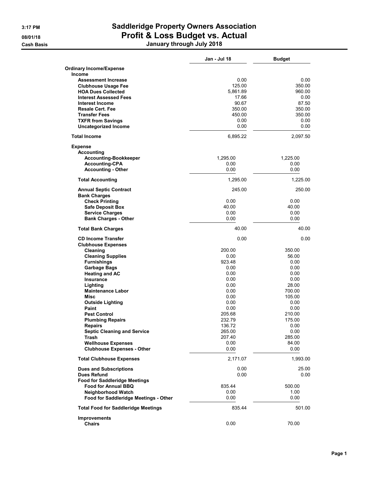# 3:17 PM Saddleridge Property Owners Association 08/01/18 **Profit & Loss Budget vs. Actual** Cash Basis January through July 2018

|                                            | Jan - Jul 18   | <b>Budget</b> |
|--------------------------------------------|----------------|---------------|
| <b>Ordinary Income/Expense</b>             |                |               |
| Income                                     |                |               |
| <b>Assessment Increase</b>                 | 0.00           | 0.00          |
| <b>Clubhouse Usage Fee</b>                 | 125.00         | 350.00        |
| <b>HOA Dues Collected</b>                  | 5.861.89       | 960.00        |
| <b>Interest Assessed Fees</b>              | 17.66          | 0.00          |
| <b>Interest Income</b>                     | 90.67          | 87.50         |
| <b>Resale Cert. Fee</b>                    | 350.00         | 350.00        |
| <b>Transfer Fees</b>                       | 450.00         | 350.00        |
| <b>TXFR from Savings</b>                   | 0.00           | 0.00          |
| <b>Uncategorized Income</b>                | 0.00           | 0.00          |
| <b>Total Income</b>                        | 6,895.22       | 2,097.50      |
| <b>Expense</b>                             |                |               |
| <b>Accounting</b>                          |                |               |
| <b>Accounting-Bookkeeper</b>               | 1,295.00       | 1,225.00      |
| <b>Accounting-CPA</b>                      | 0.00           | 0.00          |
| <b>Accounting - Other</b>                  | 0.00           | 0.00          |
| <b>Total Accounting</b>                    | 1,295.00       | 1.225.00      |
| <b>Annual Septic Contract</b>              | 245.00         | 250.00        |
| <b>Bank Charges</b>                        |                |               |
| <b>Check Printing</b>                      | 0.00           | 0.00          |
| <b>Safe Deposit Box</b>                    | 40.00          | 40.00         |
| <b>Service Charges</b>                     | 0.00           | 0.00          |
| <b>Bank Charges - Other</b>                | 0.00           | 0.00          |
| <b>Total Bank Charges</b>                  | 40.00          | 40.00         |
| <b>CD Income Transfer</b>                  | 0.00           | 0.00          |
| <b>Clubhouse Expenses</b>                  |                |               |
| Cleaning                                   | 200.00         | 350.00        |
| <b>Cleaning Supplies</b>                   | 0.00<br>923.48 | 56.00         |
| <b>Furnishings</b>                         |                | 0.00          |
| <b>Garbage Bags</b>                        | 0.00<br>0.00   | 0.00<br>0.00  |
| <b>Heating and AC</b>                      |                |               |
| <b>Insurance</b>                           | 0.00<br>0.00   | 0.00<br>28.00 |
| Lighting<br><b>Maintenance Labor</b>       | 0.00           | 700.00        |
| Misc                                       | 0.00           | 105.00        |
|                                            | 0.00           | 0.00          |
| <b>Outside Lighting</b><br>Paint           | 0.00           | 0.00          |
| <b>Pest Control</b>                        | 205.68         | 210.00        |
| <b>Plumbing Repairs</b>                    | 232.79         | 175.00        |
| Repairs                                    | 136.72         | 0.00          |
| <b>Septic Cleaning and Service</b>         | 265.00         | 0.00          |
| <b>Trash</b>                               | 207.40         | 285.00        |
| <b>Wellhouse Expenses</b>                  | 0.00           | 84.00         |
| <b>Clubhouse Expenses - Other</b>          | 0.00           | 0.00          |
| <b>Total Clubhouse Expenses</b>            | 2,171.07       | 1,993.00      |
| <b>Dues and Subscriptions</b>              | 0.00           | 25.00         |
| Dues Refund                                | 0.00           | 0.00          |
| <b>Food for Saddleridge Meetings</b>       |                |               |
| <b>Food for Annual BBQ</b>                 | 835.44         | 500.00        |
| Neighborhood Watch                         | 0.00           | 1.00          |
| Food for Saddleridge Meetings - Other      | 0.00           | 0.00          |
| <b>Total Food for Saddleridge Meetings</b> | 835.44         | 501.00        |
| <b>Improvements</b>                        |                |               |
| <b>Chairs</b>                              | 0.00           | 70.00         |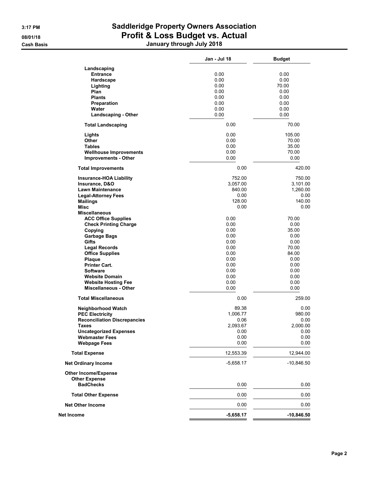# 3:17 PM Saddleridge Property Owners Association 08/01/18 **Profit & Loss Budget vs. Actual** Cash Basis January through July 2018

|                                     | Jan - Jul 18 | <b>Budget</b> |
|-------------------------------------|--------------|---------------|
| Landscaping                         |              |               |
| <b>Entrance</b>                     | 0.00         | 0.00          |
| Hardscape                           | 0.00         | 0.00          |
| Lighting                            | 0.00         | 70.00         |
| Plan                                | 0.00         | 0.00          |
| <b>Plants</b>                       | 0.00         | 0.00          |
| Preparation                         | 0.00         | 0.00          |
|                                     |              |               |
| Water                               | 0.00         | 0.00          |
| <b>Landscaping - Other</b>          | 0.00         | 0.00          |
| <b>Total Landscaping</b>            | 0.00         | 70.00         |
| Lights                              | 0.00         | 105.00        |
| Other                               | 0.00         | 70.00         |
| <b>Tables</b>                       | 0.00         | 35.00         |
| <b>Wellhouse Improvements</b>       | 0.00         | 70.00         |
| <b>Improvements - Other</b>         | 0.00         | 0.00          |
| <b>Total Improvements</b>           | 0.00         | 420.00        |
| <b>Insurance-HOA Liability</b>      | 752.00       | 750.00        |
| Insurance, D&O                      | 3,057.00     | 3,101.00      |
| <b>Lawn Maintenance</b>             | 840.00       | 1,260.00      |
| <b>Legal-Attorney Fees</b>          | 0.00         | 0.00          |
| <b>Mailings</b>                     | 128.00       | 140.00        |
| <b>Misc</b>                         | 0.00         | 0.00          |
| <b>Miscellaneous</b>                |              |               |
| <b>ACC Office Supplies</b>          | 0.00         | 70.00         |
|                                     | 0.00         |               |
| <b>Check Printing Charge</b>        |              | 0.00          |
| Copying                             | 0.00         | 35.00         |
| <b>Garbage Bags</b>                 | 0.00         | 0.00          |
| Gifts                               | 0.00         | 0.00          |
| <b>Legal Records</b>                | 0.00         | 70.00         |
| <b>Office Supplies</b>              | 0.00         | 84.00         |
| Plaque                              | 0.00         | 0.00          |
| <b>Printer Cart.</b>                | 0.00         | 0.00          |
| <b>Software</b>                     | 0.00         | 0.00          |
| <b>Website Domain</b>               | 0.00         | 0.00          |
| <b>Website Hosting Fee</b>          | 0.00         | 0.00          |
| <b>Miscellaneous - Other</b>        | 0.00         | 0.00          |
| <b>Total Miscellaneous</b>          | 0.00         | 259.00        |
|                                     |              |               |
| <b>Neighborhood Watch</b>           | 89.38        | 0.00          |
| <b>PEC Electricity</b>              | 1,006.77     | 980.00        |
| <b>Reconciliation Discrepancies</b> | 0.06         | 0.00          |
| Taxes                               | 2,093.67     | 2,000.00      |
| <b>Uncategorized Expenses</b>       | 0.00         | 0.00          |
| <b>Webmaster Fees</b>               | 0.00         | 0.00          |
| <b>Webpage Fees</b>                 | 0.00         | 0.00          |
|                                     |              |               |
| <b>Total Expense</b>                | 12,553.39    | 12,944.00     |
| <b>Net Ordinary Income</b>          | $-5,658.17$  | $-10,846.50$  |
| <b>Other Income/Expense</b>         |              |               |
| <b>Other Expense</b>                |              |               |
| <b>BadChecks</b>                    | 0.00         | 0.00          |
| <b>Total Other Expense</b>          | 0.00         | 0.00          |
| <b>Net Other Income</b>             | 0.00         | 0.00          |
| Net Income                          | $-5,658.17$  | $-10,846.50$  |